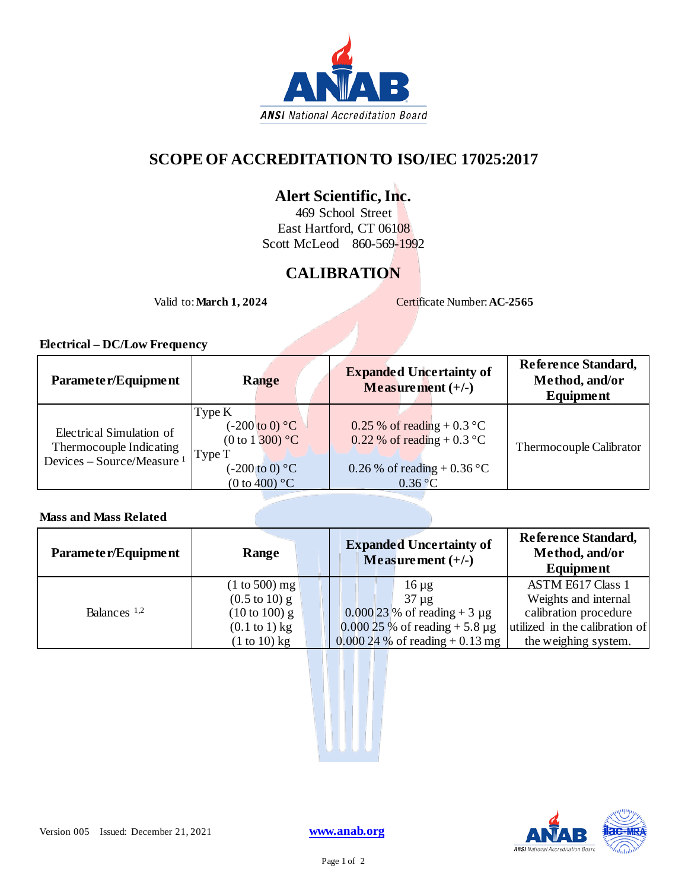

### **SCOPE OF ACCREDITATION TO ISO/IEC 17025:2017**

# **Alert Scientific, Inc.**

469 School Street East Hartford, CT 06108 Scott McLeod 860-569-1992

# **CALIBRATION**

Valid to: **March 1, 2024** Certificate Number: **AC-2565** 

### **Electrical – DC/Low Frequency**

| Parameter/Equipment                                                                          | <b>Range</b>                                                                                                                                 | <b>Expanded Uncertainty of</b><br>Measurement $(+/-)$                                                                           | Reference Standard,<br>Method, and/or<br><b>Equipment</b> |
|----------------------------------------------------------------------------------------------|----------------------------------------------------------------------------------------------------------------------------------------------|---------------------------------------------------------------------------------------------------------------------------------|-----------------------------------------------------------|
| Electrical Simulation of<br>Thermocouple Indicating<br>Devices - Source/Measure <sup>1</sup> | Type K<br>$(-200 \text{ to } 0)$ °C<br>$(0 \text{ to } 1 \text{ } 300)$ °C<br>Type T<br>$(-200 \text{ to } 0)$ °C<br>(0 to 400) $^{\circ}$ C | 0.25 % of reading + 0.3 $^{\circ}$ C<br>0.22 % of reading + 0.3 $^{\circ}$ C<br>0.26 % of reading + 0.36 °C<br>$0.36\text{ °C}$ | Thermocouple Calibrator                                   |

### **Mass and Mass Related**

| Parameter/Equipment | Range                            | <b>Expanded Uncertainty of</b><br>Measurement $(+/-)$ | Reference Standard,<br>Method, and/or<br>Equipment |
|---------------------|----------------------------------|-------------------------------------------------------|----------------------------------------------------|
| Balances $1,2$      | $(1 to 500)$ mg                  | $16 \mu g$                                            | <b>ASTM E617 Class 1</b>                           |
|                     | $(0.5 \text{ to } 10) \text{ g}$ | $37 \mu g$                                            | Weights and internal                               |
|                     | $(10 \text{ to } 100) \text{ g}$ | $0.00023$ % of reading + 3 µg                         | calibration procedure                              |
|                     | $(0.1 \text{ to } 1) \text{ kg}$ | $0.00025\%$ of reading + 5.8 µg                       | utilized in the calibration of                     |
|                     | $(1 to 10)$ kg                   | $0.00024\%$ of reading $+0.13$ mg                     | the weighing system.                               |